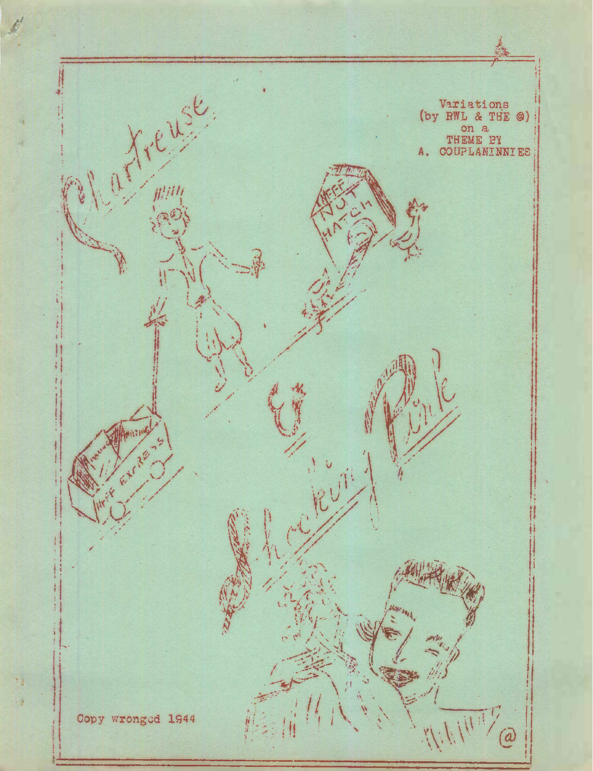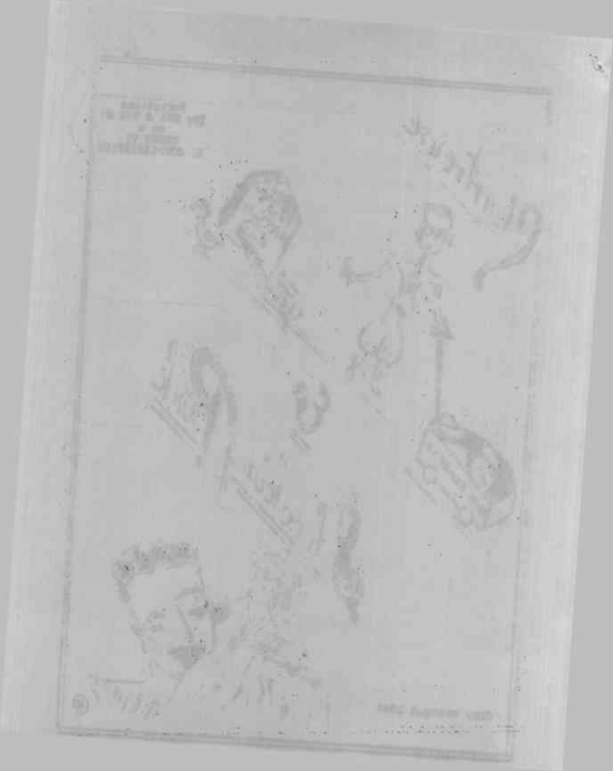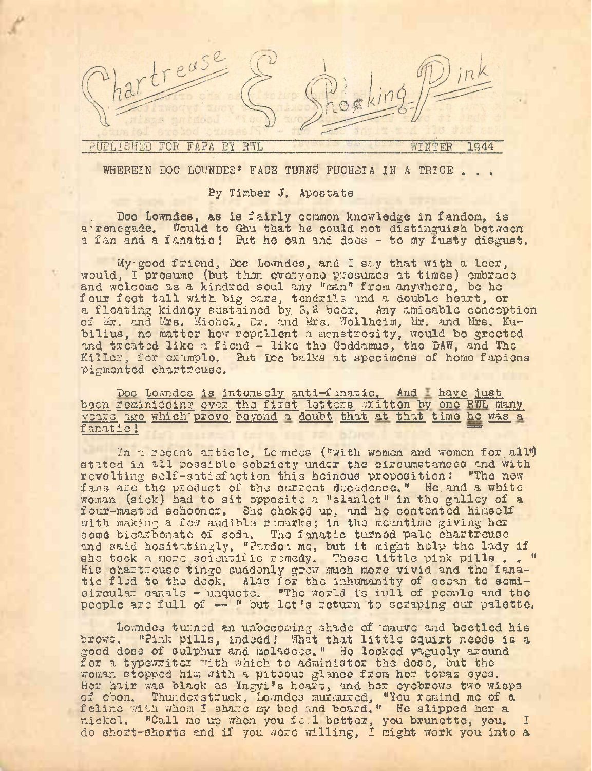

PUPLISHED FOR FAPA BY RWL

WINTER 1944

WHEREIN DOC LOWNDES' FACE TURNS FUCHSIA IN A TRICE.

# By Timber J. Apostate

. Doc Lowndes, as is fairly common knowledge in fandom, is a renegade. Would to Ghu that he could not distinguish between a fan and a fanatic! But he can and doos - to my fusty disgust.

My good friend, Doc Lowndes, and I say that with a leer, would, I presume (but then everyone presumes at times) embrace and welcome as a kindred soul any "man" from anywhere, be ho four foot tall with big cars, tendrils and a double heart, or a floating kidney sustained by 3.3 beer. Any amicable conception of Mr. and Mrs. Michel, Dr. and Mrs. Wollheim, Mr. and Mrs. Kubilius, no matter how repellent a menstrosity, would be greeted and treated like a fiend - like the Goddamus, the DAW, and The Killer, for example. But Doc balks at specimens of homo fapions pigmented chartreuse.

Doc Lowndos is intonscly anti-funatic. And have just been reminiscing over the first letters written by one RWL many years ago which prove beyond a doubt that at that time he was a

In a recent article, Lowndes ("with women and women for all") stated in all possible sobriety under the circumstances and'with revolting self-satisfaction this heinous proposition:' "The new fans are the product of the current decadence." He and a white woman (sick) had to sit opposite <sup>a</sup> "slanlet" in the galley of a four-masted schooner. She choked up, and ho contented himself with making a few audible remarks; in the meantime giving her some bicarbonate of soda. The fanatic turned pale chartreuse and said hesitatingly, "Pardoi me, but it might help the lady if and said nositatingly, "Pardoi me, out it might noip the lady if His .chartreuse tinge, suddenly grew much more vivid and the'fanatic fled to the deck. Alas for the inhumanity of ocean to semicircular canals -/unquote. . "The world is full of people and the people are full of  $-$  " but let's return to scraping our palette.

Lowndes turned an unbecoming shade of 'mauve and beetled his brows. "Bink pills, indeed! What that little squirt needs is <sup>a</sup> good dose of sulphur and molasses, " He looked vaguely around for a typewriter with which to administer the dose, but the woman stopped him with a piteous glance from hor topaz eyes. Her hair was black as Yngvi's heart, and her eyebrows two wisps of cbon. Thunderstruck, Lowndes murmured, "You remind me of a feline with whom I share my bed and board." He slipped her a nickel. "Call me up when you foll better, you brunette, you. I do short-shorts and if you wore willing, I might work you into a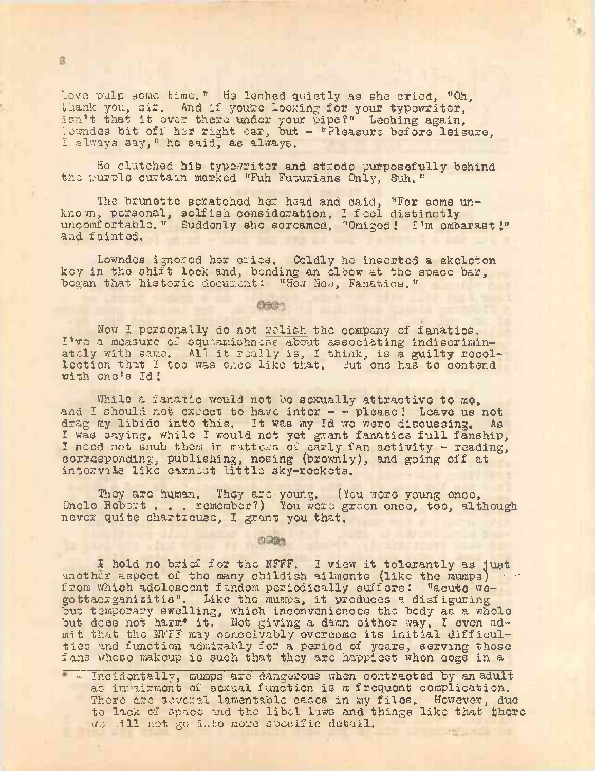love pulp some time." He leched quietly as she cried, "Oh, thank you, sir. And if youre looking for your typewriter, thank you, six. And if your flocking for your typewriter,<br>isn't that it over there under your pipe?" Leching again, Lowndes bit off her right car, but - "Pleasure before leisure, I always say," he said, as always.

He clutched his typewriter and strode purposefully behind the purple curtain marked "Fuh Futurians Only, Suh."

The brunette scratched her head and said, "For some unknown, personal, selfish consideration, I feel distinctly<br>uncomfortable." Suddenly she screamed, "Omigod! I'm embarast!" and fainted.

Lowndes ignored her cries. Coldly he inserted a skeleton key in the shift lock and, bending an elbow at the space bar, began that historic document: "How Now, Fanatics."

### **Code**

Now I personally de not relish the company of fanatics. I've <sup>a</sup> measure of squoamishness about associating indiscriminately with same. All it really is, I think, is a guilty recollection that I too was once like that. But one has to contend with one's Id!

While a fanatic would not be sexually attractive to me, and I should not expect to have inter  $-$  - please! Leave us not drag my libido into this. It was my Id wo were discussing. As I was saying, while I would not yet grant fanatics full fanship, I need not snub them in matters of early fan activity - reading, corresponding, publishing, nosing (brownly), and going off at intervals like earnest little sky-rockets.

They are human. They are young. (You were young once, Uncle Robert . . . remember?) You were green once, too, although never quite chartreuse, I grant you that.

四小圆

I hold no brief for the NFFF. I view it tolerantly as just another aspect of the many childish ailments (like the mumps) . from which adolescent fandom periodically suffers: "acute wegottaorganizitis". Like the mumps, it produces <sup>a</sup> disfiguring but temporary swelling, which inconveniences the body as a whole but temporary swelling, which inconveniences the body as a whole<br>but does not harm\* it. Not giving a damn either way, I even admit that the NFFF may conceivably overcome its initial difficulties and function admirably for a period of years, serving those fans whose makeup is such that they arc happiest when cogs in a

- Incidentally, mumps are dangerous when contracted by an adult as impairment of sexual function is a frequent complication. There are several lamentable cases in my files. However, due to lack of space and the libel laws and things like that there wc will not go into more specific detail..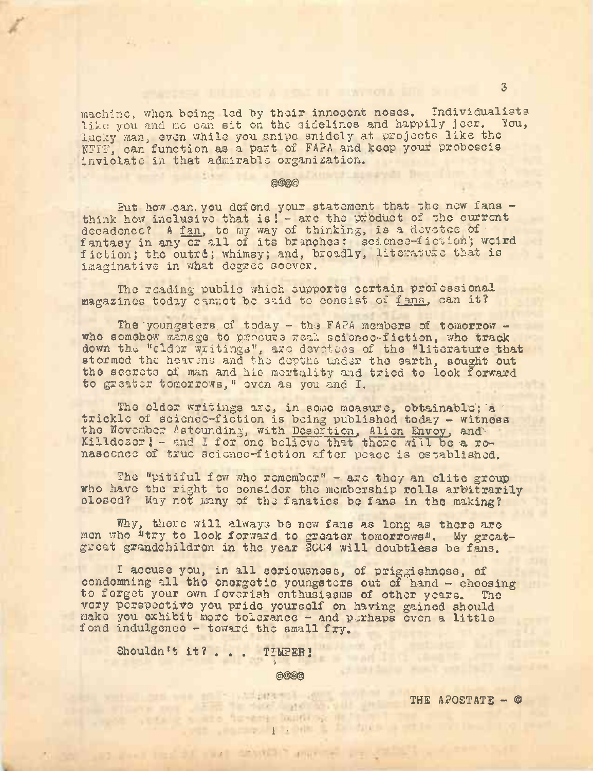machine, when being led by their innocent noses. Individualists like you and me can sit on the sidelines and happily jeer. You, 'lucky man, even while you snipe snidcly at projects like the NTFF, can function as a part of FAPA and keep your proboscis inviolate in that admirable organization.

A FORTH HINYTOTA BE

#### @@@@

But how .can, you defend your statement that the new fans think how inclusive that is! - are the product of the current decadence? A fan, to my way of thinking, is a devotee of decadence: h ian, to my way of thinking, is a developed fiction; the outre; whimsy; and, broadly, literature that is imaginative in what degree soever.

The reading public which supports certain professional magazines today cannot be said to consist of fans, can it?

The youngsters of today  $-$  the FAPA members of tomorrow  $$ who somehow manage to procure real science-fiction, who track down the "clder writings", are devotees of the "literature that stormed the heavens and the depths under the earth, sought out the secrets of man and his mortality and tried to look forward to greater tomorrows," oven as you and I.

The older writings are, in some measure, obtainable; a trickle of soicnec-fiction is being published today - witness the November Astounding, with Desertion, Alien Envoy, and  $Killdoz$ er! - and I for one believe that there will be a renascence of true science-fiction after peace is established.

The "pitiful few who remember" - are they an elite group who have the right to consider the membership rolls arbitrarily closed? May not' many of the fanatics be fans in the making?

Why, there will always be new fans as long as there arc men who "try to look forward to greater tomorrows". My greatgreat grandchildren in the year 2GG4 will doubtless be fans.

I accuse you, in all seriousness, of priggishness, of condemning all the energetic youngsters out of hand - choosing to forgot your own feverish enthusiasms of other years. The very perspective you pride yourself on having gained should make you exhibit more tolerance - and perhaps even a little fond indulgence - toward the small fry.

Shouldn't it? . . . TIMPER! the same art in the '5 1 1

@@@@

i e seu a componente de la propie de la propie de la propie de la propie de la propie de la propie de la propi

*f*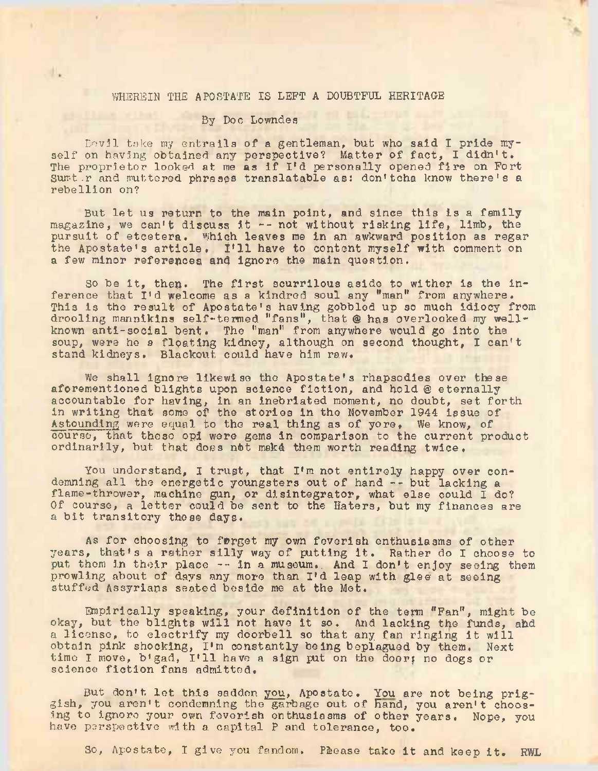## WHEREIN THE APOSTATE IS LEFT A DOUBTFUL HERITAGE

## By Doc Lowndes

 $\mathcal{A}$ 

Lovil take my entrails of a gentleman, but who said I pride myself on having obtained any perspective? Matter of fact, I didn't. The proprietor looked at me **as** if I'd personally opened fire on Fort Sumt r and muttered phrases translatable as: don'tcha know there's a rebellion on?

But let us return to the main point, and since this is <sup>a</sup> family magazine, we can't discuss it -- not without risking life, limb, the pursuit of etcetera. Which leaves me in an awkward position as regar the Apostate's article, i'll have to content myself with comment on a few minor references and Ignore the main question.

So be it, then. The first scurrilous aside to wither is the inference that I'd welcome as <sup>a</sup> kindrod soul any "man" from anywhere. This is the result of Apostate's having gobbled up so much Idiocy from drooling mannikins self-termed "fans", that @ has overlooked my wellknown anti-social bent. The "man" from anywhere would go into the soup, were he <sup>a</sup> floating kidney, although on second thought, I can't stand kidneys. Blackout could have him raw.

We shall Ignore likewise the Apostate's rhapsodies over these aforementioned blights upon science fiction, and hold @ eternally accountable for having, in an inebriated moment, no doubt, set forth in writing that some of the stories in the November 1944 issue of Astounding were equal to the real thing as of yore. We know, of course, that those opi were gems in comparison to the current product ordinarily, but that does not meka them worth reading twice.

You understand, I trust, that I'm not entirely happy over condemning all the energetic youngsters out of hand -- but lacking <sup>a</sup> flame-thrower, machine gun, or disintegrator, what else could I do? Of course, <sup>a</sup> letter could be sent to the Haters, but my finances are <sup>a</sup> bit transitory these days.

As for choosing to forget my own feverish enthusiasms of other years, that's <sup>a</sup> rather silly way of putting it. Rather do <sup>I</sup> choose to put them in their place -- in a museum. And I don't enjoy seeing them prowling about of days any more than I'd leap with glee at seeing stuffed Assyrians seated beside me at the Met.

Empirically speaking, your definition of the term "Fan", might be okay, but the blights will not have it so. And lacking the funds, and <sup>a</sup> license, to electrify my doorbell so that any fan ringing it will obtain pink shocking, I'm constantly being beplagued by them. Next time <sup>I</sup> move, b'gad, I'll have <sup>a</sup> sign pit on the doorj no dogs or time I move, b'gad, I'll have a sign put on the door; no dogs or science fiction fans admitted.

But don't let this sadden you, Apostate. You are not being priggish, you aren't condemning the garbage out of hand, you aren't choosing to ignore your own feverish enthusiasms of other years. Nope, you have perspective with a capital <sup>P</sup> and tolerance, too.

So, Apostate, I give you fandom. Phease take it and keep it. RWL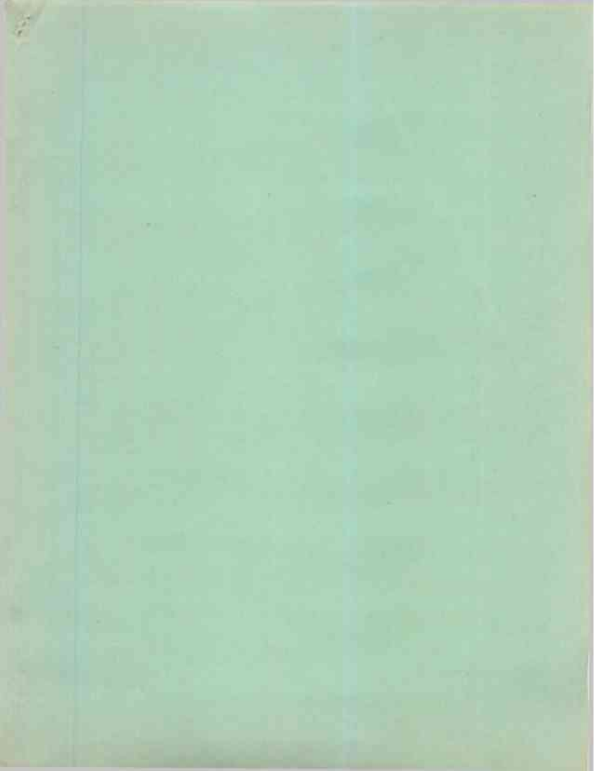